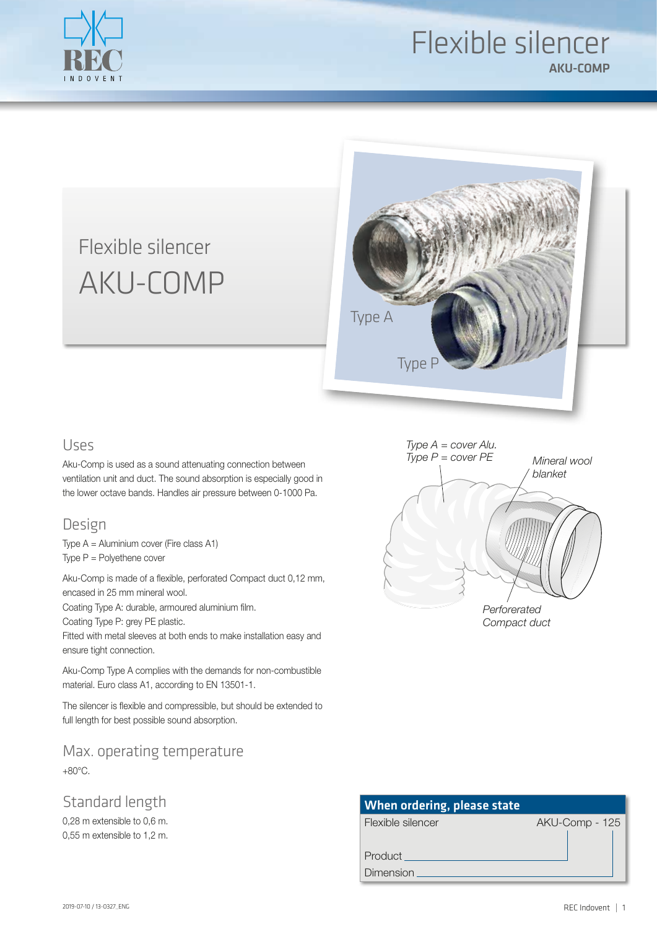

## Flexible silencer AKU-COMP

# Flexible silencer AKU-COMP



#### Uses

Aku-Comp is used as a sound attenuating connection between ventilation unit and duct. The sound absorption is especially good in the lower octave bands. Handles air pressure between 0-1000 Pa.

#### Design

Type A = Aluminium cover (Fire class A1) Type P = Polyethene cover

Aku-Comp is made of a flexible, perforated Compact duct 0,12 mm, encased in 25 mm mineral wool.

Coating Type A: durable, armoured aluminium film.

Coating Type P: grey PE plastic.

Fitted with metal sleeves at both ends to make installation easy and ensure tight connection.

Aku-Comp Type A complies with the demands for non-combustible material. Euro class A1, according to EN 13501-1.

The silencer is flexible and compressible, but should be extended to full length for best possible sound absorption.

Max. operating temperature +80°C.

Standard length

0,28 m extensible to 0,6 m. 0,55 m extensible to 1,2 m.



| <b>When ordering, please state</b> |                |  |  |  |  |  |  |  |
|------------------------------------|----------------|--|--|--|--|--|--|--|
| Flexible silencer                  | AKU-Comp - 125 |  |  |  |  |  |  |  |
|                                    |                |  |  |  |  |  |  |  |
| Product                            |                |  |  |  |  |  |  |  |
| Dimension                          |                |  |  |  |  |  |  |  |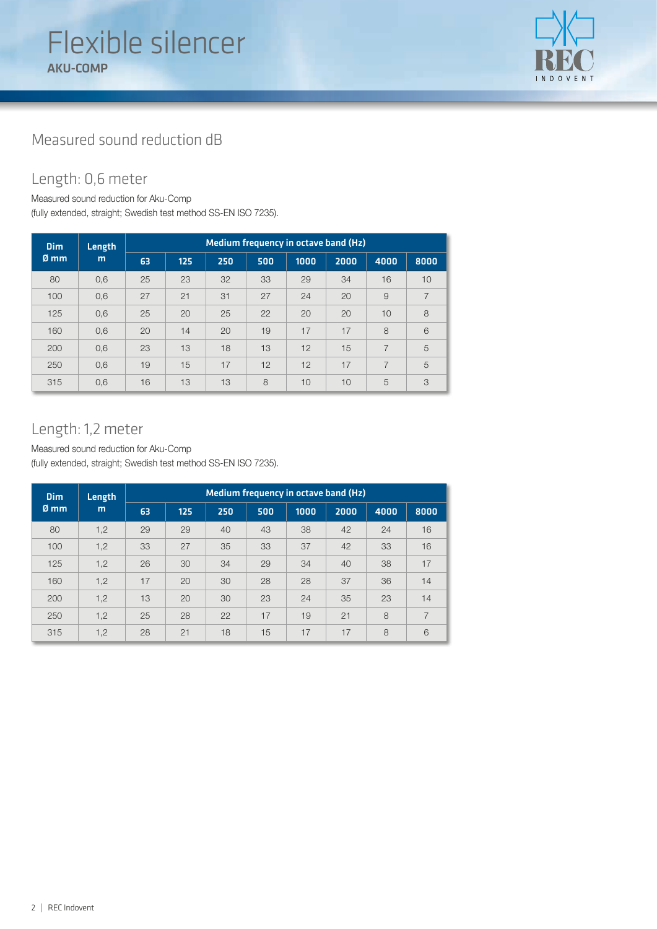

## Measured sound reduction dB

## Length: 0,6 meter

Measured sound reduction for Aku-Comp

(fully extended, straight; Swedish test method SS-EN ISO 7235).

| <b>Dim</b>     | Length<br>m | Medium frequency in octave band (Hz) |     |     |     |      |      |      |      |
|----------------|-------------|--------------------------------------|-----|-----|-----|------|------|------|------|
| $\emptyset$ mm |             | 63                                   | 125 | 250 | 500 | 1000 | 2000 | 4000 | 8000 |
| 80             | 0,6         | 25                                   | 23  | 32  | 33  | 29   | 34   | 16   | 10   |
| 100            | 0,6         | 27                                   | 21  | 31  | 27  | 24   | 20   | 9    | 7    |
| 125            | 0,6         | 25                                   | 20  | 25  | 22  | 20   | 20   | 10   | 8    |
| 160            | 0,6         | 20                                   | 14  | 20  | 19  | 17   | 17   | 8    | 6    |
| 200            | 0,6         | 23                                   | 13  | 18  | 13  | 12   | 15   | 7    | 5    |
| 250            | 0,6         | 19                                   | 15  | 17  | 12  | 12   | 17   | 7    | 5    |
| 315            | 0,6         | 16                                   | 13  | 13  | 8   | 10   | 10   | 5    | 3    |

#### Length: 1,2 meter

Measured sound reduction for Aku-Comp

(fully extended, straight; Swedish test method SS-EN ISO 7235).

| <b>Dim</b>     | Length<br>m | Medium frequency in octave band (Hz) |     |     |     |      |      |      |                |
|----------------|-------------|--------------------------------------|-----|-----|-----|------|------|------|----------------|
| $\emptyset$ mm |             | 63                                   | 125 | 250 | 500 | 1000 | 2000 | 4000 | 8000           |
| 80             | 1,2         | 29                                   | 29  | 40  | 43  | 38   | 42   | 24   | 16             |
| 100            | 1,2         | 33                                   | 27  | 35  | 33  | 37   | 42   | 33   | 16             |
| 125            | 1,2         | 26                                   | 30  | 34  | 29  | 34   | 40   | 38   | 17             |
| 160            | 1,2         | 17                                   | 20  | 30  | 28  | 28   | 37   | 36   | 14             |
| 200            | 1,2         | 13                                   | 20  | 30  | 23  | 24   | 35   | 23   | 14             |
| 250            | 1,2         | 25                                   | 28  | 22  | 17  | 19   | 21   | 8    | $\overline{7}$ |
| 315            | 1,2         | 28                                   | 21  | 18  | 15  | 17   | 17   | 8    | 6              |